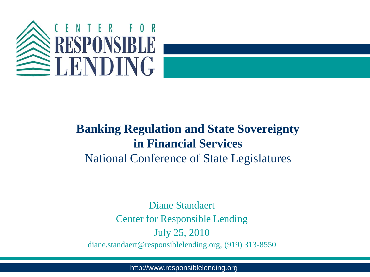

#### **Banking Regulation and State Sovereignty in Financial Services** National Conference of State Legislatures

Diane Standaert Center for Responsible Lending July 25, 2010 diane.standaert@responsiblelending.org, (919) 313-8550

http://www.responsiblelending.org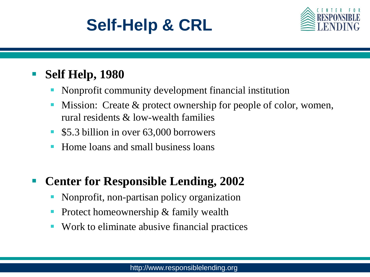# **Self-Help & CRL**



#### **Self Help, 1980**

- Nonprofit community development financial institution
- **Mission:** Create & protect ownership for people of color, women, rural residents & low-wealth families
- **5.3 billion in over 63,000 borrowers**
- Home loans and small business loans

#### **Center for Responsible Lending, 2002**

- Nonprofit, non-partisan policy organization
- Protect homeownership & family wealth
- Work to eliminate abusive financial practices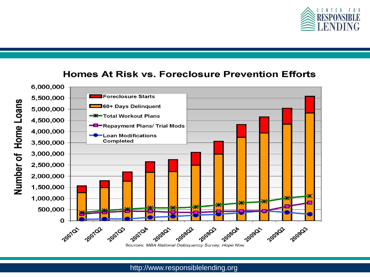

#### **Homes At Risk vs. Foreclosure Prevention Efforts**



Sources: MBA National Delinquency Survey, Hope Now

http://www.responsiblelending.org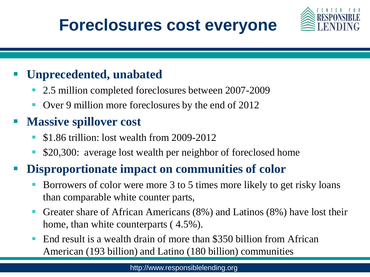### **Foreclosures cost everyone**



#### **Unprecedented, unabated**

- 2.5 million completed foreclosures between 2007-2009
- Over 9 million more foreclosures by the end of 2012

### **Massive spillover cost**

- \$1.86 trillion: lost wealth from 2009-2012
- **S** \$20,300: average lost wealth per neighbor of foreclosed home

#### **Disproportionate impact on communities of color**

- Borrowers of color were more 3 to 5 times more likely to get risky loans than comparable white counter parts,
- Greater share of African Americans (8%) and Latinos (8%) have lost their home, than white counterparts ( 4.5%).
- End result is a wealth drain of more than \$350 billion from African American (193 billion) and Latino (180 billion) communities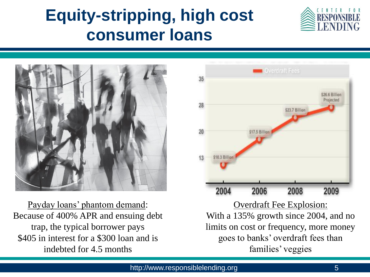# **Equity-stripping, high cost consumer loans**





Payday loans' phantom demand: Because of 400% APR and ensuing debt trap, the typical borrower pays \$405 in interest for a \$300 loan and is indebted for 4.5 months



Overdraft Fee Explosion: With a 135% growth since 2004, and no limits on cost or frequency, more money goes to banks' overdraft fees than families' veggies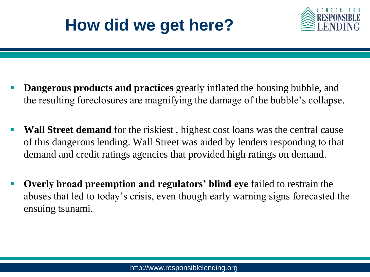# **How did we get here?**



- **Dangerous products and practices** greatly inflated the housing bubble, and the resulting foreclosures are magnifying the damage of the bubble's collapse.
- **Wall Street demand** for the riskiest , highest cost loans was the central cause of this dangerous lending. Wall Street was aided by lenders responding to that demand and credit ratings agencies that provided high ratings on demand.
- **Overly broad preemption and regulators' blind eye** failed to restrain the abuses that led to today's crisis, even though early warning signs forecasted the ensuing tsunami.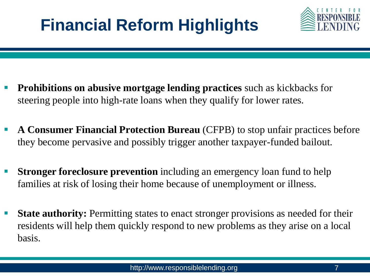# **Financial Reform Highlights**



- **Prohibitions on abusive mortgage lending practices** such as kickbacks for steering people into high-rate loans when they qualify for lower rates.
- **A Consumer Financial Protection Bureau** (CFPB) to stop unfair practices before they become pervasive and possibly trigger another taxpayer-funded bailout.
- **Stronger foreclosure prevention** including an emergency loan fund to help families at risk of losing their home because of unemployment or illness.
- **State authority:** Permitting states to enact stronger provisions as needed for their residents will help them quickly respond to new problems as they arise on a local basis.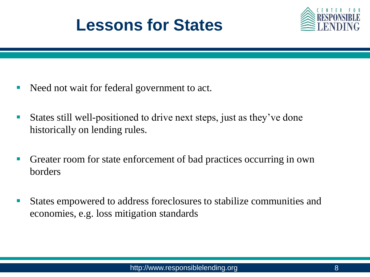



- Need not wait for federal government to act.
- States still well-positioned to drive next steps, just as they've done historically on lending rules.
- Greater room for state enforcement of bad practices occurring in own borders
- States empowered to address foreclosures to stabilize communities and economies, e.g. loss mitigation standards